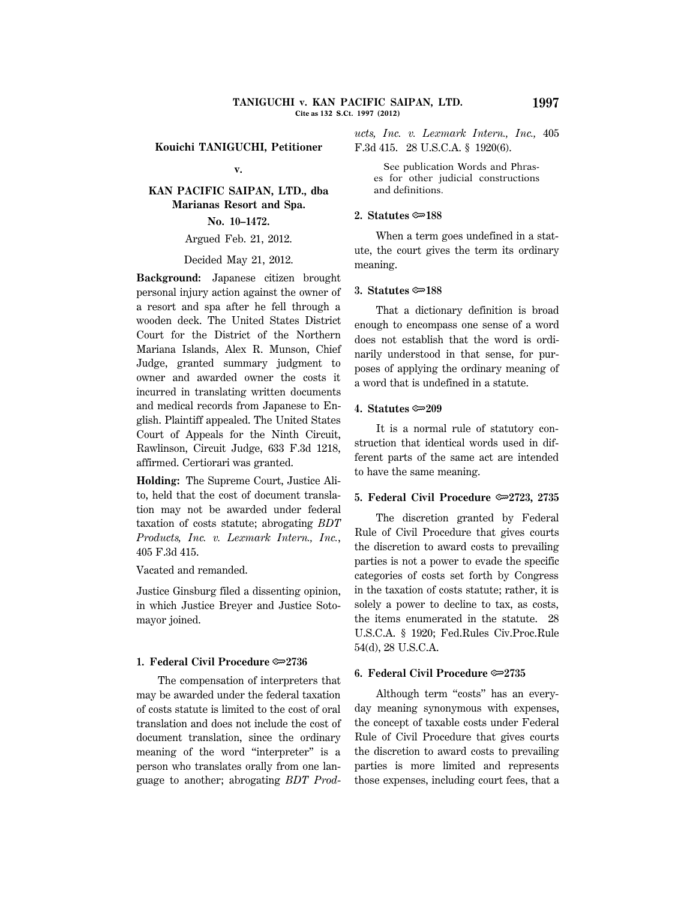**Kouichi TANIGUCHI, Petitioner**

## **v.**

# **KAN PACIFIC SAIPAN, LTD., dba Marianas Resort and Spa. No. 10–1472.**

## Argued Feb. 21, 2012.

#### Decided May 21, 2012.

**Background:** Japanese citizen brought personal injury action against the owner of a resort and spa after he fell through a wooden deck. The United States District Court for the District of the Northern Mariana Islands, Alex R. Munson, Chief Judge, granted summary judgment to owner and awarded owner the costs it incurred in translating written documents and medical records from Japanese to English. Plaintiff appealed. The United States Court of Appeals for the Ninth Circuit, Rawlinson, Circuit Judge, 633 F.3d 1218, affirmed. Certiorari was granted.

**Holding:** The Supreme Court, Justice Alito, held that the cost of document translation may not be awarded under federal taxation of costs statute; abrogating *BDT Products, Inc. v. Lexmark Intern., Inc.*, 405 F.3d 415.

Vacated and remanded.

Justice Ginsburg filed a dissenting opinion, in which Justice Breyer and Justice Sotomayor joined.

## **1. Federal Civil Procedure**  $\approx 2736$

The compensation of interpreters that may be awarded under the federal taxation of costs statute is limited to the cost of oral translation and does not include the cost of document translation, since the ordinary meaning of the word ''interpreter'' is a person who translates orally from one language to another; abrogating *BDT Prod*- *ucts, Inc. v. Lexmark Intern., Inc.,* 405 F.3d 415. 28 U.S.C.A. § 1920(6).

 See publication Words and Phrases for other judicial constructions and definitions.

### **2. Statutes**  $\approx 188$

When a term goes undefined in a statute, the court gives the term its ordinary meaning.

#### **3. Statutes** O**188**

That a dictionary definition is broad enough to encompass one sense of a word does not establish that the word is ordinarily understood in that sense, for purposes of applying the ordinary meaning of a word that is undefined in a statute.

#### **4. Statutes ©**209

It is a normal rule of statutory construction that identical words used in different parts of the same act are intended to have the same meaning.

#### **5. Federal Civil Procedure**  $\approx 2723$ **, 2735**

The discretion granted by Federal Rule of Civil Procedure that gives courts the discretion to award costs to prevailing parties is not a power to evade the specific categories of costs set forth by Congress in the taxation of costs statute; rather, it is solely a power to decline to tax, as costs, the items enumerated in the statute. 28 U.S.C.A. § 1920; Fed.Rules Civ.Proc.Rule 54(d), 28 U.S.C.A.

## **6. Federal Civil Procedure**  $\approx 2735$

Although term "costs" has an everyday meaning synonymous with expenses, the concept of taxable costs under Federal Rule of Civil Procedure that gives courts the discretion to award costs to prevailing parties is more limited and represents those expenses, including court fees, that a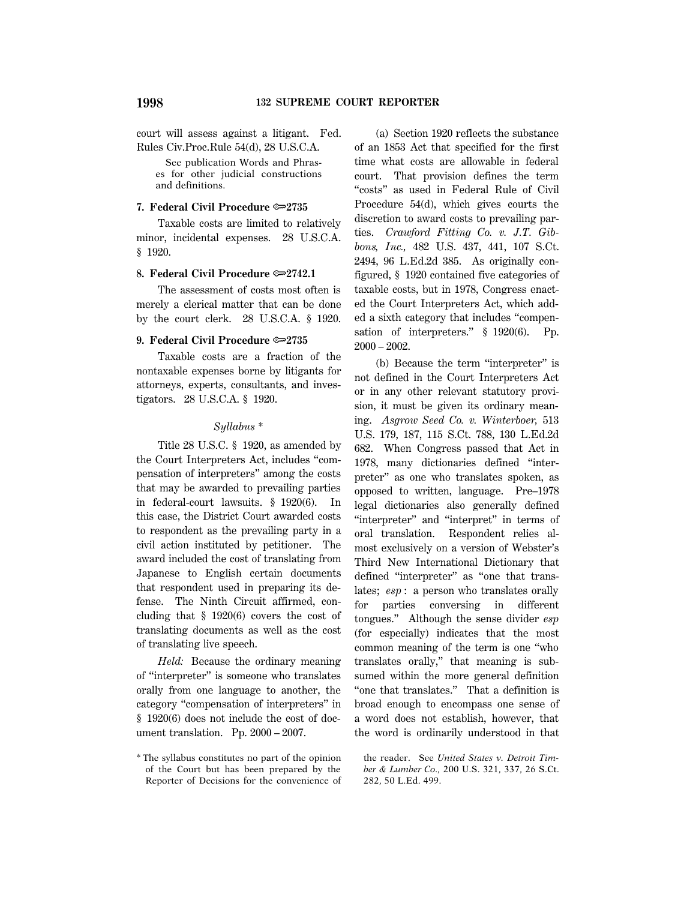court will assess against a litigant. Fed. Rules Civ.Proc.Rule 54(d), 28 U.S.C.A.

 See publication Words and Phrases for other judicial constructions and definitions.

#### **7. Federal Civil Procedure**  $\infty$ **2735**

Taxable costs are limited to relatively minor, incidental expenses. 28 U.S.C.A. § 1920.

## **8. Federal Civil Procedure**  $\infty$  **2742.1**

The assessment of costs most often is merely a clerical matter that can be done by the court clerk. 28 U.S.C.A. § 1920.

#### **9. Federal Civil Procedure**  $\approx 2735$

Taxable costs are a fraction of the nontaxable expenses borne by litigants for attorneys, experts, consultants, and investigators. 28 U.S.C.A. § 1920.

#### *Syllabus \**

Title 28 U.S.C. § 1920, as amended by the Court Interpreters Act, includes ''compensation of interpreters'' among the costs that may be awarded to prevailing parties in federal-court lawsuits. § 1920(6). In this case, the District Court awarded costs to respondent as the prevailing party in a civil action instituted by petitioner. The award included the cost of translating from Japanese to English certain documents that respondent used in preparing its defense. The Ninth Circuit affirmed, concluding that § 1920(6) covers the cost of translating documents as well as the cost of translating live speech.

*Held:* Because the ordinary meaning of ''interpreter'' is someone who translates orally from one language to another, the category ''compensation of interpreters'' in § 1920(6) does not include the cost of document translation. Pp. 2000 – 2007.

(a) Section 1920 reflects the substance of an 1853 Act that specified for the first time what costs are allowable in federal court. That provision defines the term "costs" as used in Federal Rule of Civil Procedure 54(d), which gives courts the discretion to award costs to prevailing parties. *Crawford Fitting Co. v. J.T. Gibbons, Inc.,* 482 U.S. 437, 441, 107 S.Ct. 2494, 96 L.Ed.2d 385. As originally configured, § 1920 contained five categories of taxable costs, but in 1978, Congress enacted the Court Interpreters Act, which added a sixth category that includes ''compensation of interpreters." § 1920(6). Pp. 2000 – 2002.

(b) Because the term ''interpreter'' is not defined in the Court Interpreters Act or in any other relevant statutory provision, it must be given its ordinary meaning. *Asgrow Seed Co. v. Winterboer,* 513 U.S. 179, 187, 115 S.Ct. 788, 130 L.Ed.2d 682. When Congress passed that Act in 1978, many dictionaries defined ''interpreter'' as one who translates spoken, as opposed to written, language. Pre–1978 legal dictionaries also generally defined "interpreter" and "interpret" in terms of oral translation. Respondent relies almost exclusively on a version of Webster's Third New International Dictionary that defined "interpreter" as "one that translates; *esp* : a person who translates orally for parties conversing in different tongues.'' Although the sense divider *esp* (for especially) indicates that the most common meaning of the term is one ''who translates orally,'' that meaning is subsumed within the more general definition "one that translates." That a definition is broad enough to encompass one sense of a word does not establish, however, that the word is ordinarily understood in that

the reader. See *United States v. Detroit Timber & Lumber Co.,* 200 U.S. 321, 337, 26 S.Ct. 282, 50 L.Ed. 499.

<sup>\*</sup> The syllabus constitutes no part of the opinion of the Court but has been prepared by the Reporter of Decisions for the convenience of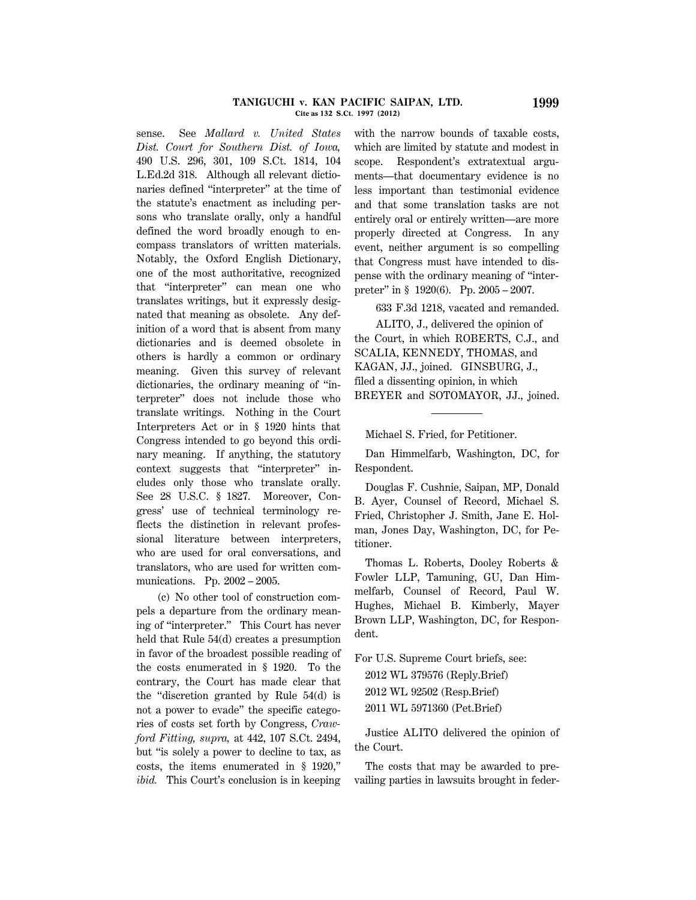#### **TANIGUCHI v. KAN PACIFIC SAIPAN, LTD. 1999 Cite as 132 S.Ct. 1997 (2012)**

sense. See *Mallard v. United States Dist. Court for Southern Dist. of Iowa,* 490 U.S. 296, 301, 109 S.Ct. 1814, 104 L.Ed.2d 318. Although all relevant dictionaries defined ''interpreter'' at the time of the statute's enactment as including persons who translate orally, only a handful defined the word broadly enough to encompass translators of written materials. Notably, the Oxford English Dictionary, one of the most authoritative, recognized that ''interpreter'' can mean one who translates writings, but it expressly designated that meaning as obsolete. Any definition of a word that is absent from many dictionaries and is deemed obsolete in others is hardly a common or ordinary meaning. Given this survey of relevant dictionaries, the ordinary meaning of ''interpreter'' does not include those who translate writings. Nothing in the Court Interpreters Act or in § 1920 hints that Congress intended to go beyond this ordinary meaning. If anything, the statutory context suggests that ''interpreter'' includes only those who translate orally. See 28 U.S.C. § 1827. Moreover, Congress' use of technical terminology reflects the distinction in relevant professional literature between interpreters, who are used for oral conversations, and translators, who are used for written communications. Pp. 2002 – 2005.

(c) No other tool of construction compels a departure from the ordinary meaning of ''interpreter.'' This Court has never held that Rule 54(d) creates a presumption in favor of the broadest possible reading of the costs enumerated in § 1920. To the contrary, the Court has made clear that the ''discretion granted by Rule 54(d) is not a power to evade'' the specific categories of costs set forth by Congress, *Crawford Fitting, supra,* at 442, 107 S.Ct. 2494, but ''is solely a power to decline to tax, as costs, the items enumerated in § 1920,'' *ibid.* This Court's conclusion is in keeping with the narrow bounds of taxable costs, which are limited by statute and modest in scope. Respondent's extratextual arguments—that documentary evidence is no less important than testimonial evidence and that some translation tasks are not entirely oral or entirely written—are more properly directed at Congress. In any event, neither argument is so compelling that Congress must have intended to dispense with the ordinary meaning of ''interpreter'' in § 1920(6). Pp. 2005 – 2007.

633 F.3d 1218, vacated and remanded.

ALITO, J., delivered the opinion of the Court, in which ROBERTS, C.J., and SCALIA, KENNEDY, THOMAS, and KAGAN, JJ., joined. GINSBURG, J., filed a dissenting opinion, in which BREYER and SOTOMAYOR, JJ., joined.

Michael S. Fried, for Petitioner.

Dan Himmelfarb, Washington, DC, for Respondent.

Douglas F. Cushnie, Saipan, MP, Donald B. Ayer, Counsel of Record, Michael S. Fried, Christopher J. Smith, Jane E. Holman, Jones Day, Washington, DC, for Petitioner.

Thomas L. Roberts, Dooley Roberts & Fowler LLP, Tamuning, GU, Dan Himmelfarb, Counsel of Record, Paul W. Hughes, Michael B. Kimberly, Mayer Brown LLP, Washington, DC, for Respondent.

For U.S. Supreme Court briefs, see: 2012 WL 379576 (Reply.Brief) 2012 WL 92502 (Resp.Brief)

2011 WL 5971360 (Pet.Brief)

Justice ALITO delivered the opinion of the Court.

The costs that may be awarded to prevailing parties in lawsuits brought in feder-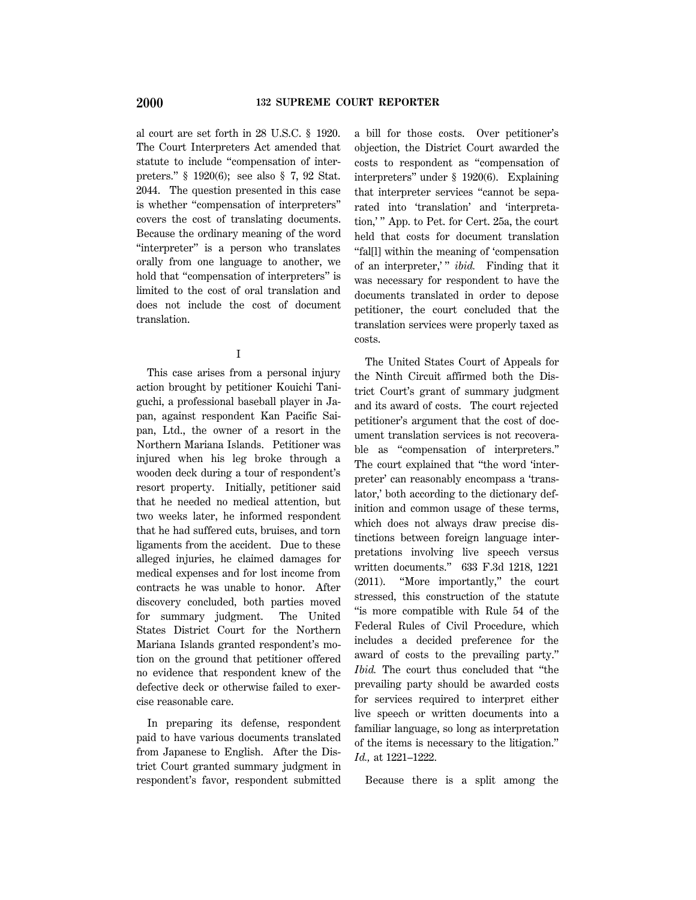al court are set forth in 28 U.S.C. § 1920. The Court Interpreters Act amended that statute to include ''compensation of interpreters.'' § 1920(6); see also § 7, 92 Stat. 2044. The question presented in this case is whether ''compensation of interpreters'' covers the cost of translating documents. Because the ordinary meaning of the word "interpreter" is a person who translates orally from one language to another, we hold that "compensation of interpreters" is limited to the cost of oral translation and does not include the cost of document translation.

I

This case arises from a personal injury action brought by petitioner Kouichi Taniguchi, a professional baseball player in Japan, against respondent Kan Pacific Saipan, Ltd., the owner of a resort in the Northern Mariana Islands. Petitioner was injured when his leg broke through a wooden deck during a tour of respondent's resort property. Initially, petitioner said that he needed no medical attention, but two weeks later, he informed respondent that he had suffered cuts, bruises, and torn ligaments from the accident. Due to these alleged injuries, he claimed damages for medical expenses and for lost income from contracts he was unable to honor. After discovery concluded, both parties moved for summary judgment. The United States District Court for the Northern Mariana Islands granted respondent's motion on the ground that petitioner offered no evidence that respondent knew of the defective deck or otherwise failed to exercise reasonable care.

In preparing its defense, respondent paid to have various documents translated from Japanese to English. After the District Court granted summary judgment in respondent's favor, respondent submitted a bill for those costs. Over petitioner's objection, the District Court awarded the costs to respondent as ''compensation of interpreters'' under § 1920(6). Explaining that interpreter services ''cannot be separated into 'translation' and 'interpretation,' '' App. to Pet. for Cert. 25a, the court held that costs for document translation ''fal[l] within the meaning of 'compensation of an interpreter,'" *ibid*. Finding that it was necessary for respondent to have the documents translated in order to depose petitioner, the court concluded that the translation services were properly taxed as costs.

The United States Court of Appeals for the Ninth Circuit affirmed both the District Court's grant of summary judgment and its award of costs. The court rejected petitioner's argument that the cost of document translation services is not recoverable as ''compensation of interpreters.'' The court explained that ''the word 'interpreter' can reasonably encompass a 'translator,' both according to the dictionary definition and common usage of these terms, which does not always draw precise distinctions between foreign language interpretations involving live speech versus written documents.'' 633 F.3d 1218, 1221 (2011). ''More importantly,'' the court stressed, this construction of the statute ''is more compatible with Rule 54 of the Federal Rules of Civil Procedure, which includes a decided preference for the award of costs to the prevailing party.'' *Ibid.* The court thus concluded that ''the prevailing party should be awarded costs for services required to interpret either live speech or written documents into a familiar language, so long as interpretation of the items is necessary to the litigation.'' *Id.,* at 1221–1222.

Because there is a split among the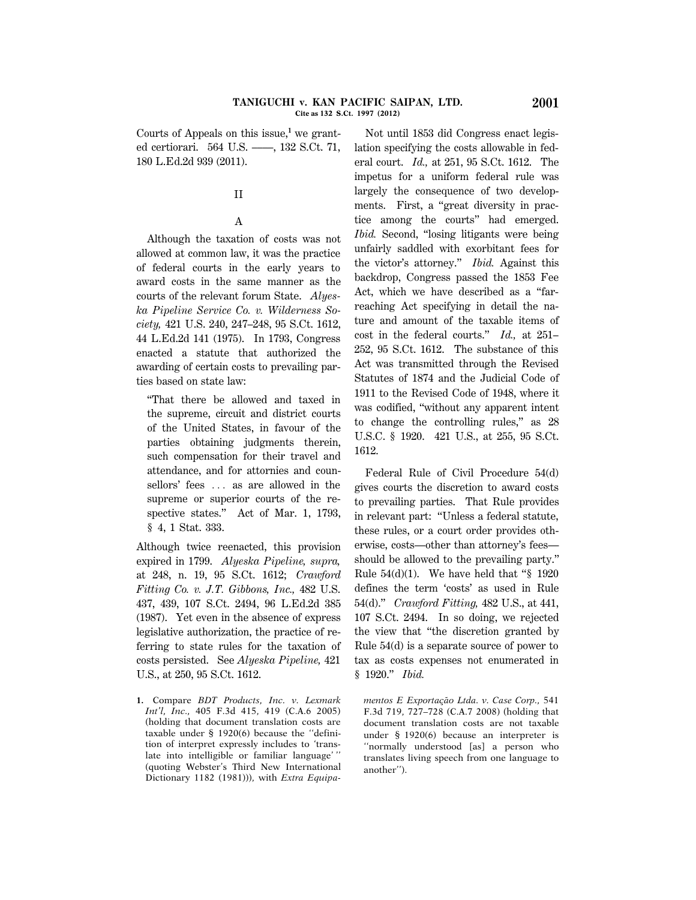#### **TANIGUCHI v. KAN PACIFIC SAIPAN, LTD. 2001 Cite as 132 S.Ct. 1997 (2012)**

Courts of Appeals on this issue,**<sup>1</sup>** we granted certiorari. 564 U.S. ––––, 132 S.Ct. 71, 180 L.Ed.2d 939 (2011).

# II

## A

Although the taxation of costs was not allowed at common law, it was the practice of federal courts in the early years to award costs in the same manner as the courts of the relevant forum State. *Alyeska Pipeline Service Co. v. Wilderness Society,* 421 U.S. 240, 247–248, 95 S.Ct. 1612, 44 L.Ed.2d 141 (1975). In 1793, Congress enacted a statute that authorized the awarding of certain costs to prevailing parties based on state law:

''That there be allowed and taxed in the supreme, circuit and district courts of the United States, in favour of the parties obtaining judgments therein, such compensation for their travel and attendance, and for attornies and counsellors' fees ... as are allowed in the supreme or superior courts of the respective states." Act of Mar. 1, 1793, § 4, 1 Stat. 333.

Although twice reenacted, this provision expired in 1799. *Alyeska Pipeline, supra,* at 248, n. 19, 95 S.Ct. 1612; *Crawford Fitting Co. v. J.T. Gibbons, Inc.,* 482 U.S. 437, 439, 107 S.Ct. 2494, 96 L.Ed.2d 385 (1987). Yet even in the absence of express legislative authorization, the practice of referring to state rules for the taxation of costs persisted. See *Alyeska Pipeline,* 421 U.S., at 250, 95 S.Ct. 1612.

**1.** Compare *BDT Products, Inc. v. Lexmark Int'l, Inc.,* 405 F.3d 415, 419 (C.A.6 2005) (holding that document translation costs are taxable under § 1920(6) because the ''definition of interpret expressly includes to 'translate into intelligible or familiar language' (quoting Webster's Third New International Dictionary 1182 (1981))), with *Extra Equipa*-

Not until 1853 did Congress enact legislation specifying the costs allowable in federal court. *Id.,* at 251, 95 S.Ct. 1612. The impetus for a uniform federal rule was largely the consequence of two developments. First, a "great diversity in practice among the courts'' had emerged. *Ibid.* Second, "losing litigants were being unfairly saddled with exorbitant fees for the victor's attorney.'' *Ibid.* Against this backdrop, Congress passed the 1853 Fee Act, which we have described as a ''farreaching Act specifying in detail the nature and amount of the taxable items of cost in the federal courts.'' *Id.,* at 251– 252, 95 S.Ct. 1612. The substance of this Act was transmitted through the Revised Statutes of 1874 and the Judicial Code of 1911 to the Revised Code of 1948, where it was codified, ''without any apparent intent to change the controlling rules,'' as 28 U.S.C. § 1920. 421 U.S., at 255, 95 S.Ct. 1612.

Federal Rule of Civil Procedure 54(d) gives courts the discretion to award costs to prevailing parties. That Rule provides in relevant part: ''Unless a federal statute, these rules, or a court order provides otherwise, costs—other than attorney's fees should be allowed to the prevailing party.'' Rule  $54(d)(1)$ . We have held that "§ 1920 defines the term 'costs' as used in Rule 54(d).'' *Crawford Fitting,* 482 U.S., at 441, 107 S.Ct. 2494. In so doing, we rejected the view that ''the discretion granted by Rule 54(d) is a separate source of power to tax as costs expenses not enumerated in § 1920.'' *Ibid.*

*mentos E Exporta*¸*cao Ltda. v. Case Corp.,* ˜ 541 F.3d 719, 727–728 (C.A.7 2008) (holding that document translation costs are not taxable under § 1920(6) because an interpreter is ''normally understood [as] a person who translates living speech from one language to another'').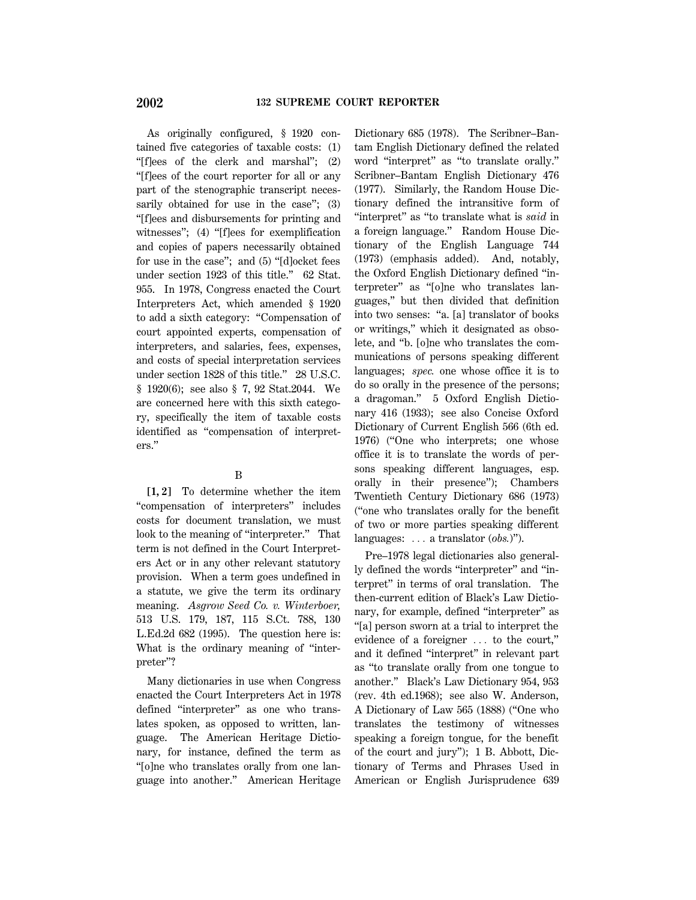As originally configured, § 1920 contained five categories of taxable costs: (1) ''[f]ees of the clerk and marshal''; (2) ''[f]ees of the court reporter for all or any part of the stenographic transcript necessarily obtained for use in the case"; (3) ''[f]ees and disbursements for printing and witnesses"; (4) "[f]ees for exemplification and copies of papers necessarily obtained for use in the case''; and (5) ''[d]ocket fees under section 1923 of this title.'' 62 Stat. 955. In 1978, Congress enacted the Court Interpreters Act, which amended § 1920 to add a sixth category: ''Compensation of court appointed experts, compensation of interpreters, and salaries, fees, expenses, and costs of special interpretation services under section 1828 of this title.'' 28 U.S.C. § 1920(6); see also § 7, 92 Stat.2044. We are concerned here with this sixth category, specifically the item of taxable costs identified as ''compensation of interpreters.''

## B

**[1, 2]** To determine whether the item ''compensation of interpreters'' includes costs for document translation, we must look to the meaning of "interpreter." That term is not defined in the Court Interpreters Act or in any other relevant statutory provision. When a term goes undefined in a statute, we give the term its ordinary meaning. *Asgrow Seed Co. v. Winterboer,* 513 U.S. 179, 187, 115 S.Ct. 788, 130 L.Ed.2d 682 (1995). The question here is: What is the ordinary meaning of "interpreter''?

Many dictionaries in use when Congress enacted the Court Interpreters Act in 1978 defined "interpreter" as one who translates spoken, as opposed to written, language. The American Heritage Dictionary, for instance, defined the term as ''[o]ne who translates orally from one language into another.'' American Heritage

Dictionary 685 (1978). The Scribner–Bantam English Dictionary defined the related word ''interpret'' as ''to translate orally.'' Scribner–Bantam English Dictionary 476 (1977). Similarly, the Random House Dictionary defined the intransitive form of ''interpret'' as ''to translate what is *said* in a foreign language.'' Random House Dictionary of the English Language 744 (1973) (emphasis added). And, notably, the Oxford English Dictionary defined ''interpreter'' as ''[o]ne who translates languages,'' but then divided that definition into two senses: ''a. [a] translator of books or writings,'' which it designated as obsolete, and ''b. [o]ne who translates the communications of persons speaking different languages; *spec.* one whose office it is to do so orally in the presence of the persons; a dragoman.'' 5 Oxford English Dictionary 416 (1933); see also Concise Oxford Dictionary of Current English 566 (6th ed. 1976) (''One who interprets; one whose office it is to translate the words of persons speaking different languages, esp. orally in their presence''); Chambers Twentieth Century Dictionary 686 (1973) (''one who translates orally for the benefit of two or more parties speaking different languages: ... a translator (*obs.*)").

Pre–1978 legal dictionaries also generally defined the words ''interpreter'' and ''interpret'' in terms of oral translation. The then-current edition of Black's Law Dictionary, for example, defined ''interpreter'' as ''[a] person sworn at a trial to interpret the evidence of a foreigner  $\ldots$  to the court," and it defined ''interpret'' in relevant part as ''to translate orally from one tongue to another.'' Black's Law Dictionary 954, 953 (rev. 4th ed.1968); see also W. Anderson, A Dictionary of Law 565 (1888) (''One who translates the testimony of witnesses speaking a foreign tongue, for the benefit of the court and jury''); 1 B. Abbott, Dictionary of Terms and Phrases Used in American or English Jurisprudence 639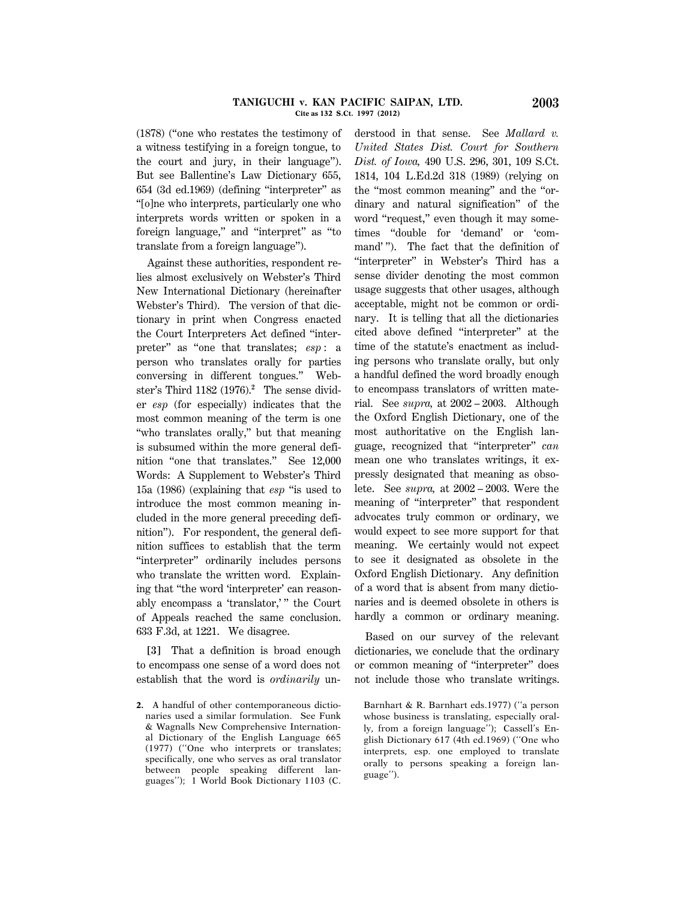#### **TANIGUCHI v. KAN PACIFIC SAIPAN, LTD. 2003 Cite as 132 S.Ct. 1997 (2012)**

(1878) (''one who restates the testimony of a witness testifying in a foreign tongue, to the court and jury, in their language''). But see Ballentine's Law Dictionary 655, 654 (3d ed.1969) (defining ''interpreter'' as ''[o]ne who interprets, particularly one who interprets words written or spoken in a foreign language,'' and ''interpret'' as ''to translate from a foreign language'').

Against these authorities, respondent relies almost exclusively on Webster's Third New International Dictionary (hereinafter Webster's Third). The version of that dictionary in print when Congress enacted the Court Interpreters Act defined ''interpreter'' as ''one that translates; *esp* : a person who translates orally for parties conversing in different tongues.'' Webster's Third 1182 (1976).**<sup>2</sup>** The sense divider *esp* (for especially) indicates that the most common meaning of the term is one "who translates orally," but that meaning is subsumed within the more general definition ''one that translates.'' See 12,000 Words: A Supplement to Webster's Third 15a (1986) (explaining that *esp* ''is used to introduce the most common meaning included in the more general preceding definition''). For respondent, the general definition suffices to establish that the term ''interpreter'' ordinarily includes persons who translate the written word. Explaining that ''the word 'interpreter' can reasonably encompass a 'translator,' '' the Court of Appeals reached the same conclusion. 633 F.3d, at 1221. We disagree.

**[3]** That a definition is broad enough to encompass one sense of a word does not establish that the word is *ordinarily* understood in that sense. See *Mallard v. United States Dist. Court for Southern Dist. of Iowa,* 490 U.S. 296, 301, 109 S.Ct. 1814, 104 L.Ed.2d 318 (1989) (relying on the ''most common meaning'' and the ''ordinary and natural signification'' of the word "request," even though it may sometimes ''double for 'demand' or 'command' ''). The fact that the definition of "interpreter" in Webster's Third has a sense divider denoting the most common usage suggests that other usages, although acceptable, might not be common or ordinary. It is telling that all the dictionaries cited above defined ''interpreter'' at the time of the statute's enactment as including persons who translate orally, but only a handful defined the word broadly enough to encompass translators of written material. See *supra,* at 2002 – 2003. Although the Oxford English Dictionary, one of the most authoritative on the English language, recognized that ''interpreter'' *can* mean one who translates writings, it expressly designated that meaning as obsolete. See *supra,* at 2002 – 2003. Were the meaning of ''interpreter'' that respondent advocates truly common or ordinary, we would expect to see more support for that meaning. We certainly would not expect to see it designated as obsolete in the Oxford English Dictionary. Any definition of a word that is absent from many dictionaries and is deemed obsolete in others is hardly a common or ordinary meaning.

Based on our survey of the relevant dictionaries, we conclude that the ordinary or common meaning of ''interpreter'' does not include those who translate writings.

**<sup>2.</sup>** A handful of other contemporaneous dictionaries used a similar formulation. See Funk & Wagnalls New Comprehensive International Dictionary of the English Language 665 (1977) (''One who interprets or translates; specifically, one who serves as oral translator between people speaking different languages''); 1 World Book Dictionary 1103 (C.

Barnhart & R. Barnhart eds.1977) (''a person whose business is translating, especially orally, from a foreign language''); Cassell's English Dictionary 617 (4th ed.1969) (''One who interprets, esp. one employed to translate orally to persons speaking a foreign language'').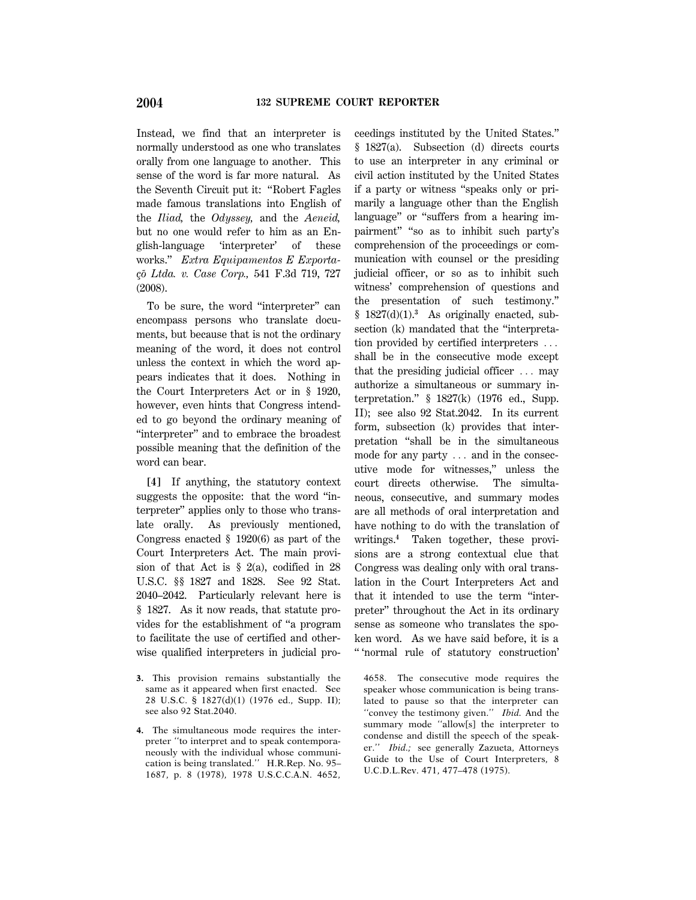Instead, we find that an interpreter is normally understood as one who translates orally from one language to another. This sense of the word is far more natural. As the Seventh Circuit put it: ''Robert Fagles made famous translations into English of the *Iliad,* the *Odyssey,* and the *Aeneid,* but no one would refer to him as an English-language 'interpreter' of these works.'' *Extra Equipamentos E Exporta-* ¸*c*˜*o Ltda. v. Case Corp.,* 541 F.3d 719, 727 (2008).

To be sure, the word ''interpreter'' can encompass persons who translate documents, but because that is not the ordinary meaning of the word, it does not control unless the context in which the word appears indicates that it does. Nothing in the Court Interpreters Act or in § 1920, however, even hints that Congress intended to go beyond the ordinary meaning of ''interpreter'' and to embrace the broadest possible meaning that the definition of the word can bear.

**[4]** If anything, the statutory context suggests the opposite: that the word ''interpreter'' applies only to those who translate orally. As previously mentioned, Congress enacted § 1920(6) as part of the Court Interpreters Act. The main provision of that Act is  $\S$  2(a), codified in 28 U.S.C. §§ 1827 and 1828. See 92 Stat. 2040–2042. Particularly relevant here is § 1827. As it now reads, that statute provides for the establishment of ''a program to facilitate the use of certified and otherwise qualified interpreters in judicial pro-

ceedings instituted by the United States.'' § 1827(a). Subsection (d) directs courts to use an interpreter in any criminal or civil action instituted by the United States if a party or witness ''speaks only or primarily a language other than the English language'' or ''suffers from a hearing impairment" "so as to inhibit such party's comprehension of the proceedings or communication with counsel or the presiding judicial officer, or so as to inhibit such witness' comprehension of questions and the presentation of such testimony.''  $§$  1827(d)(1).<sup>3</sup> As originally enacted, subsection (k) mandated that the ''interpretation provided by certified interpreters  $\ldots$ shall be in the consecutive mode except that the presiding judicial officer  $\ldots$  may authorize a simultaneous or summary interpretation.'' § 1827(k) (1976 ed., Supp. II); see also 92 Stat.2042. In its current form, subsection (k) provides that interpretation ''shall be in the simultaneous mode for any party  $\ldots$  and in the consecutive mode for witnesses,'' unless the court directs otherwise. The simultaneous, consecutive, and summary modes are all methods of oral interpretation and have nothing to do with the translation of writings.**<sup>4</sup>** Taken together, these provisions are a strong contextual clue that Congress was dealing only with oral translation in the Court Interpreters Act and that it intended to use the term ''interpreter'' throughout the Act in its ordinary sense as someone who translates the spoken word. As we have said before, it is a '' 'normal rule of statutory construction'

4658. The consecutive mode requires the speaker whose communication is being translated to pause so that the interpreter can ''convey the testimony given.'' *Ibid.* And the summary mode ''allow[s] the interpreter to condense and distill the speech of the speaker.'' *Ibid.;* see generally Zazueta, Attorneys Guide to the Use of Court Interpreters, 8 U.C.D.L.Rev. 471, 477–478 (1975).

**<sup>3.</sup>** This provision remains substantially the same as it appeared when first enacted. See 28 U.S.C. § 1827(d)(1) (1976 ed., Supp. II); see also 92 Stat.2040.

**<sup>4.</sup>** The simultaneous mode requires the interpreter ''to interpret and to speak contemporaneously with the individual whose communication is being translated.'' H.R.Rep. No. 95– 1687, p. 8 (1978), 1978 U.S.C.C.A.N. 4652,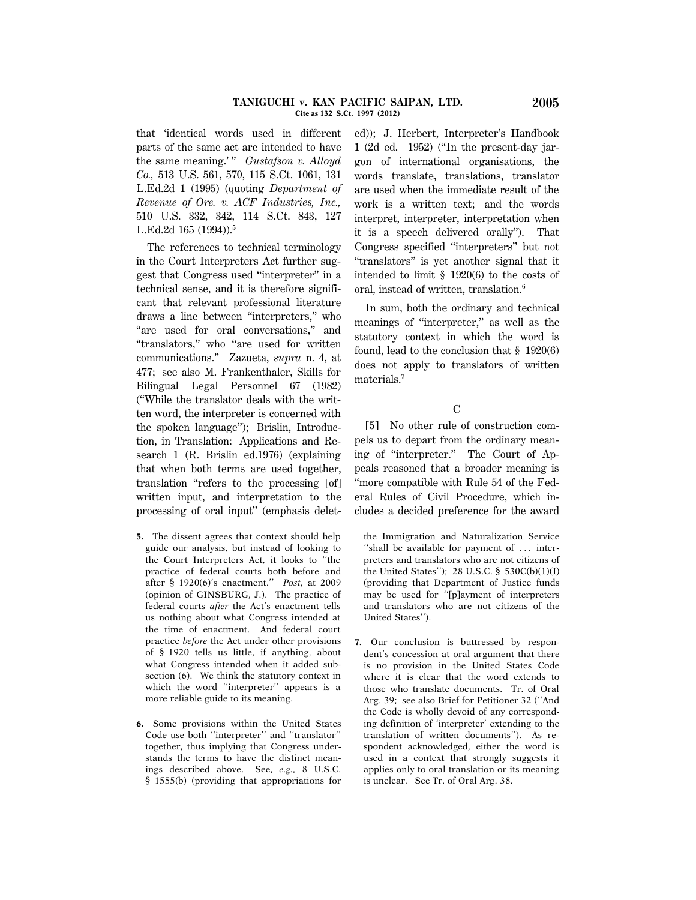#### **TANIGUCHI v. KAN PACIFIC SAIPAN, LTD. 2005 Cite as 132 S.Ct. 1997 (2012)**

that 'identical words used in different parts of the same act are intended to have the same meaning.'" *Gustafson v. Alloyd Co.,* 513 U.S. 561, 570, 115 S.Ct. 1061, 131 L.Ed.2d 1 (1995) (quoting *Department of Revenue of Ore. v. ACF Industries, Inc.,* 510 U.S. 332, 342, 114 S.Ct. 843, 127 L.Ed.2d 165 (1994)).**<sup>5</sup>**

The references to technical terminology in the Court Interpreters Act further suggest that Congress used ''interpreter'' in a technical sense, and it is therefore significant that relevant professional literature draws a line between ''interpreters,'' who "are used for oral conversations," and "translators," who "are used for written communications.'' Zazueta, *supra* n. 4, at 477; see also M. Frankenthaler, Skills for Bilingual Legal Personnel 67 (1982) (''While the translator deals with the written word, the interpreter is concerned with the spoken language''); Brislin, Introduction, in Translation: Applications and Research 1 (R. Brislin ed.1976) (explaining that when both terms are used together, translation ''refers to the processing [of] written input, and interpretation to the processing of oral input'' (emphasis delet-

- **5.** The dissent agrees that context should help guide our analysis, but instead of looking to the Court Interpreters Act, it looks to ''the practice of federal courts both before and after § 1920(6)'s enactment.'' *Post,* at 2009 (opinion of GINSBURG, J.). The practice of federal courts *after* the Act's enactment tells us nothing about what Congress intended at the time of enactment. And federal court practice *before* the Act under other provisions of § 1920 tells us little, if anything, about what Congress intended when it added subsection (6). We think the statutory context in which the word ''interpreter'' appears is a more reliable guide to its meaning.
- **6.** Some provisions within the United States Code use both ''interpreter'' and ''translator'' together, thus implying that Congress understands the terms to have the distinct meanings described above. See, *e.g.,* 8 U.S.C. § 1555(b) (providing that appropriations for

ed)); J. Herbert, Interpreter's Handbook 1 (2d ed. 1952) (''In the present-day jargon of international organisations, the words translate, translations, translator are used when the immediate result of the work is a written text; and the words interpret, interpreter, interpretation when it is a speech delivered orally''). That Congress specified ''interpreters'' but not ''translators'' is yet another signal that it intended to limit § 1920(6) to the costs of oral, instead of written, translation.**<sup>6</sup>**

In sum, both the ordinary and technical meanings of ''interpreter,'' as well as the statutory context in which the word is found, lead to the conclusion that § 1920(6) does not apply to translators of written materials.**<sup>7</sup>**

#### C

**[5]** No other rule of construction compels us to depart from the ordinary meaning of ''interpreter.'' The Court of Appeals reasoned that a broader meaning is ''more compatible with Rule 54 of the Federal Rules of Civil Procedure, which includes a decided preference for the award

the Immigration and Naturalization Service "shall be available for payment of  $\ldots$  interpreters and translators who are not citizens of the United States''); 28 U.S.C. § 530C(b)(1)(I) (providing that Department of Justice funds may be used for ''[p]ayment of interpreters and translators who are not citizens of the United States'').

**7.** Our conclusion is buttressed by respondent's concession at oral argument that there is no provision in the United States Code where it is clear that the word extends to those who translate documents. Tr. of Oral Arg. 39; see also Brief for Petitioner 32 (''And the Code is wholly devoid of any corresponding definition of 'interpreter' extending to the translation of written documents''). As respondent acknowledged, either the word is used in a context that strongly suggests it applies only to oral translation or its meaning is unclear. See Tr. of Oral Arg. 38.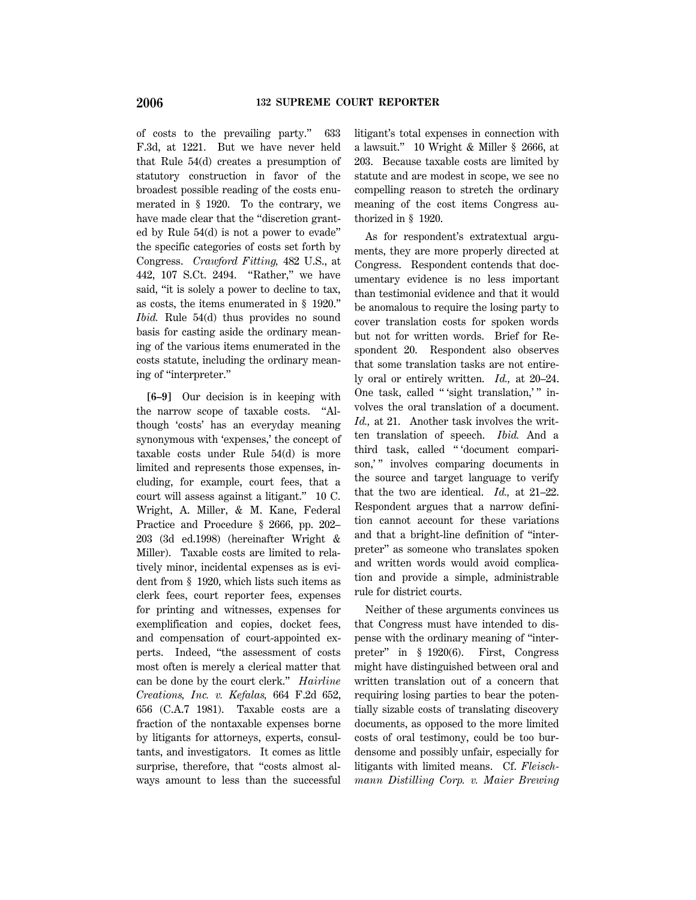of costs to the prevailing party.'' 633 F.3d, at 1221. But we have never held that Rule 54(d) creates a presumption of statutory construction in favor of the broadest possible reading of the costs enumerated in § 1920. To the contrary, we have made clear that the "discretion granted by Rule 54(d) is not a power to evade'' the specific categories of costs set forth by Congress. *Crawford Fitting,* 482 U.S., at 442, 107 S.Ct. 2494. "Rather," we have said, ''it is solely a power to decline to tax, as costs, the items enumerated in § 1920.'' *Ibid.* Rule 54(d) thus provides no sound basis for casting aside the ordinary meaning of the various items enumerated in the costs statute, including the ordinary meaning of ''interpreter.''

**[6–9]** Our decision is in keeping with the narrow scope of taxable costs. ''Although 'costs' has an everyday meaning synonymous with 'expenses,' the concept of taxable costs under Rule 54(d) is more limited and represents those expenses, including, for example, court fees, that a court will assess against a litigant.'' 10 C. Wright, A. Miller, & M. Kane, Federal Practice and Procedure § 2666, pp. 202– 203 (3d ed.1998) (hereinafter Wright & Miller). Taxable costs are limited to relatively minor, incidental expenses as is evident from § 1920, which lists such items as clerk fees, court reporter fees, expenses for printing and witnesses, expenses for exemplification and copies, docket fees, and compensation of court-appointed experts. Indeed, ''the assessment of costs most often is merely a clerical matter that can be done by the court clerk.'' *Hairline Creations, Inc. v. Kefalas,* 664 F.2d 652, 656 (C.A.7 1981). Taxable costs are a fraction of the nontaxable expenses borne by litigants for attorneys, experts, consultants, and investigators. It comes as little surprise, therefore, that "costs almost always amount to less than the successful litigant's total expenses in connection with a lawsuit.'' 10 Wright & Miller § 2666, at 203. Because taxable costs are limited by statute and are modest in scope, we see no compelling reason to stretch the ordinary meaning of the cost items Congress authorized in § 1920.

As for respondent's extratextual arguments, they are more properly directed at Congress. Respondent contends that documentary evidence is no less important than testimonial evidence and that it would be anomalous to require the losing party to cover translation costs for spoken words but not for written words. Brief for Respondent 20. Respondent also observes that some translation tasks are not entirely oral or entirely written. *Id.,* at 20–24. One task, called "'sight translation,'" involves the oral translation of a document. *Id.,* at 21. Another task involves the written translation of speech. *Ibid.* And a third task, called '' 'document comparison," involves comparing documents in the source and target language to verify that the two are identical. *Id.,* at 21–22. Respondent argues that a narrow definition cannot account for these variations and that a bright-line definition of ''interpreter'' as someone who translates spoken and written words would avoid complication and provide a simple, administrable rule for district courts.

Neither of these arguments convinces us that Congress must have intended to dispense with the ordinary meaning of ''interpreter'' in § 1920(6). First, Congress might have distinguished between oral and written translation out of a concern that requiring losing parties to bear the potentially sizable costs of translating discovery documents, as opposed to the more limited costs of oral testimony, could be too burdensome and possibly unfair, especially for litigants with limited means. Cf. *Fleischmann Distilling Corp. v. Maier Brewing*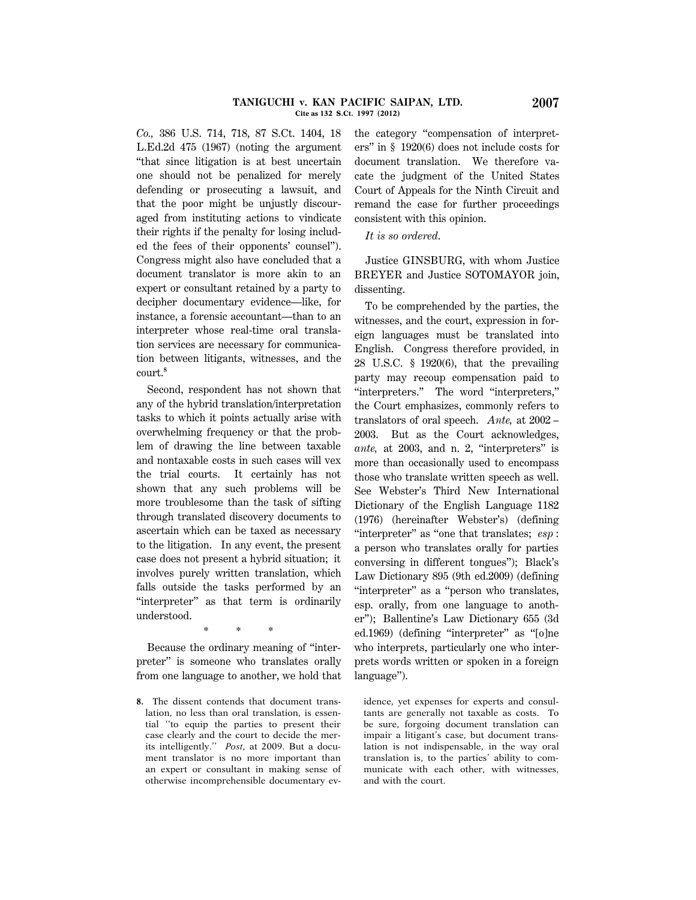*Co.,* 386 U.S. 714, 718, 87 S.Ct. 1404, 18 L.Ed.2d 475 (1967) (noting the argument ''that since litigation is at best uncertain one should not be penalized for merely defending or prosecuting a lawsuit, and that the poor might be unjustly discouraged from instituting actions to vindicate their rights if the penalty for losing included the fees of their opponents' counsel''). Congress might also have concluded that a document translator is more akin to an expert or consultant retained by a party to decipher documentary evidence—like, for instance, a forensic accountant—than to an interpreter whose real-time oral translation services are necessary for communication between litigants, witnesses, and the court.**<sup>8</sup>**

Second, respondent has not shown that any of the hybrid translation/interpretation tasks to which it points actually arise with overwhelming frequency or that the problem of drawing the line between taxable and nontaxable costs in such cases will vex the trial courts. It certainly has not shown that any such problems will be more troublesome than the task of sifting through translated discovery documents to ascertain which can be taxed as necessary to the litigation. In any event, the present case does not present a hybrid situation; it involves purely written translation, which falls outside the tasks performed by an "interpreter" as that term is ordinarily understood.

Because the ordinary meaning of ''interpreter'' is someone who translates orally from one language to another, we hold that

\* \* \*

the category ''compensation of interpreters'' in § 1920(6) does not include costs for document translation. We therefore vacate the judgment of the United States Court of Appeals for the Ninth Circuit and remand the case for further proceedings consistent with this opinion.

*It is so ordered*.

Justice GINSBURG, with whom Justice BREYER and Justice SOTOMAYOR join, dissenting.

To be comprehended by the parties, the witnesses, and the court, expression in foreign languages must be translated into English. Congress therefore provided, in 28 U.S.C. § 1920(6), that the prevailing party may recoup compensation paid to ''interpreters.'' The word ''interpreters,'' the Court emphasizes, commonly refers to translators of oral speech. *Ante,* at 2002 – 2003. But as the Court acknowledges, *ante,* at 2003, and n. 2, ''interpreters'' is more than occasionally used to encompass those who translate written speech as well. See Webster's Third New International Dictionary of the English Language 1182 (1976) (hereinafter Webster's) (defining ''interpreter'' as ''one that translates; *esp* : a person who translates orally for parties conversing in different tongues''); Black's Law Dictionary 895 (9th ed.2009) (defining ''interpreter'' as a ''person who translates, esp. orally, from one language to another''); Ballentine's Law Dictionary 655 (3d ed.1969) (defining ''interpreter'' as ''[o]ne who interprets, particularly one who interprets words written or spoken in a foreign language'').

idence, yet expenses for experts and consultants are generally not taxable as costs. To be sure, forgoing document translation can impair a litigant's case, but document translation is not indispensable, in the way oral translation is, to the parties' ability to communicate with each other, with witnesses, and with the court.

**<sup>8.</sup>** The dissent contends that document translation, no less than oral translation, is essential ''to equip the parties to present their case clearly and the court to decide the merits intelligently.'' *Post,* at 2009. But a document translator is no more important than an expert or consultant in making sense of otherwise incomprehensible documentary ev-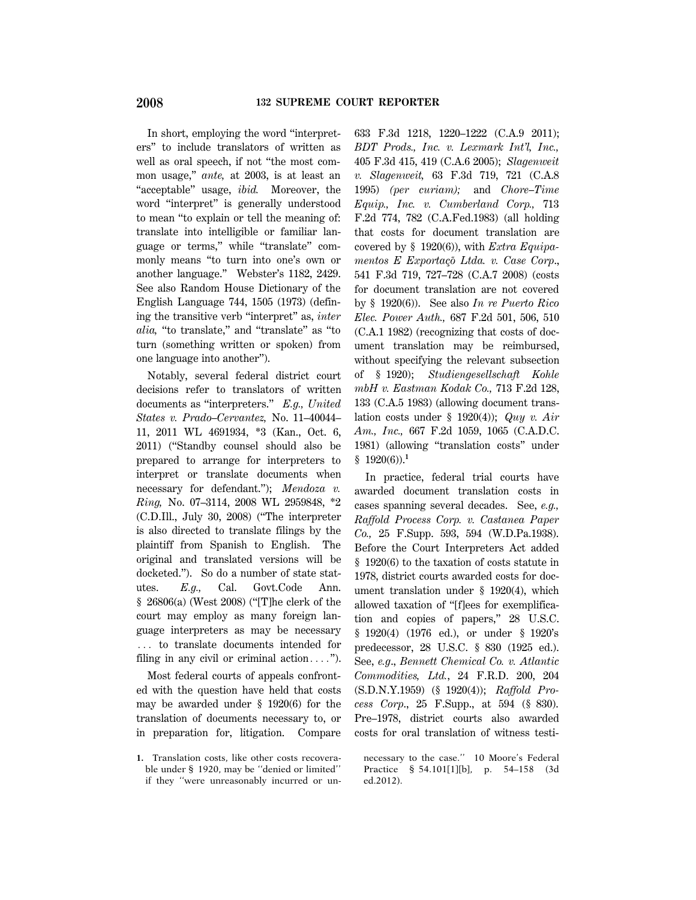In short, employing the word ''interpreters'' to include translators of written as well as oral speech, if not ''the most common usage,'' *ante,* at 2003, is at least an "acceptable" usage, *ibid.* Moreover, the word ''interpret'' is generally understood to mean ''to explain or tell the meaning of: translate into intelligible or familiar language or terms," while "translate" commonly means ''to turn into one's own or another language.'' Webster's 1182, 2429. See also Random House Dictionary of the English Language 744, 1505 (1973) (defining the transitive verb ''interpret'' as, *inter alia,* ''to translate,'' and ''translate'' as ''to turn (something written or spoken) from one language into another'').

Notably, several federal district court decisions refer to translators of written documents as ''interpreters.'' *E.g., United States v. Prado–Cervantez,* No. 11–40044– 11, 2011 WL 4691934, \*3 (Kan., Oct. 6, 2011) (''Standby counsel should also be prepared to arrange for interpreters to interpret or translate documents when necessary for defendant.''); *Mendoza v. Ring,* No. 07–3114, 2008 WL 2959848, \*2 (C.D.Ill., July 30, 2008) (''The interpreter is also directed to translate filings by the plaintiff from Spanish to English. The original and translated versions will be docketed.''). So do a number of state statutes. *E.g.,* Cal. Govt.Code Ann. § 26806(a) (West 2008) (''[T]he clerk of the court may employ as many foreign language interpreters as may be necessary ... to translate documents intended for filing in any civil or criminal action....").

Most federal courts of appeals confronted with the question have held that costs may be awarded under § 1920(6) for the translation of documents necessary to, or in preparation for, litigation. Compare

**1.** Translation costs, like other costs recoverable under § 1920, may be ''denied or limited'' if they ''were unreasonably incurred or un-

633 F.3d 1218, 1220–1222 (C.A.9 2011); *BDT Prods., Inc. v. Lexmark Int'l, Inc.,* 405 F.3d 415, 419 (C.A.6 2005); *Slagenweit v. Slagenweit,* 63 F.3d 719, 721 (C.A.8 1995) *(per curiam);* and *Chore–Time Equip., Inc. v. Cumberland Corp.,* 713 F.2d 774, 782 (C.A.Fed.1983) (all holding that costs for document translation are covered by § 1920(6)), with *Extra Equipamentos E Exportaçõ Ltda. v. Case Corp.*, 541 F.3d 719, 727–728 (C.A.7 2008) (costs for document translation are not covered by § 1920(6)). See also *In re Puerto Rico Elec. Power Auth.,* 687 F.2d 501, 506, 510 (C.A.1 1982) (recognizing that costs of document translation may be reimbursed, without specifying the relevant subsection of § 1920); *Studiengesellschaft Kohle mbH v. Eastman Kodak Co.,* 713 F.2d 128, 133 (C.A.5 1983) (allowing document translation costs under § 1920(4)); *Quy v. Air Am., Inc.,* 667 F.2d 1059, 1065 (C.A.D.C. 1981) (allowing ''translation costs'' under § 1920(6)).**<sup>1</sup>**

In practice, federal trial courts have awarded document translation costs in cases spanning several decades. See, *e.g., Raffold Process Corp. v. Castanea Paper Co.,* 25 F.Supp. 593, 594 (W.D.Pa.1938). Before the Court Interpreters Act added § 1920(6) to the taxation of costs statute in 1978, district courts awarded costs for document translation under § 1920(4), which allowed taxation of ''[f]ees for exemplification and copies of papers,'' 28 U.S.C. § 1920(4) (1976 ed.), or under § 1920's predecessor, 28 U.S.C. § 830 (1925 ed.). See, *e.g*., *Bennett Chemical Co. v. Atlantic Commodities, Ltd.*, 24 F.R.D. 200, 204 (S.D.N.Y.1959) (§ 1920(4)); *Raffold Process Corp*., 25 F.Supp., at 594 (§ 830). Pre–1978, district courts also awarded costs for oral translation of witness testi-

necessary to the case.'' 10 Moore's Federal Practice § 54.101[1][b], p. 54–158 (3d ed.2012).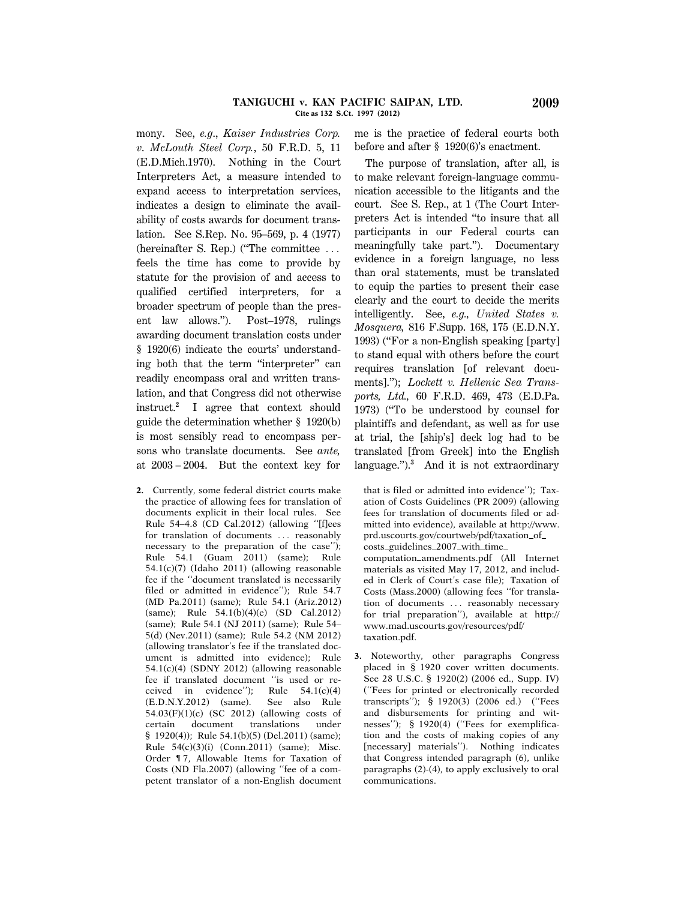#### **TANIGUCHI v. KAN PACIFIC SAIPAN, LTD. 2009 Cite as 132 S.Ct. 1997 (2012)**

mony. See, *e.g*., *Kaiser Industries Corp. v*. *McLouth Steel Corp.*, 50 F.R.D. 5, 11 (E.D.Mich.1970). Nothing in the Court Interpreters Act, a measure intended to expand access to interpretation services, indicates a design to eliminate the availability of costs awards for document translation. See S.Rep. No. 95–569, p. 4 (1977) (hereinafter S. Rep.) ("The committee  $\ldots$ feels the time has come to provide by statute for the provision of and access to qualified certified interpreters, for a broader spectrum of people than the present law allows.''). Post–1978, rulings awarding document translation costs under § 1920(6) indicate the courts' understanding both that the term ''interpreter'' can readily encompass oral and written translation, and that Congress did not otherwise instruct.**<sup>2</sup>** I agree that context should guide the determination whether § 1920(b) is most sensibly read to encompass persons who translate documents. See *ante,* at 2003 – 2004. But the context key for

**2.** Currently, some federal district courts make the practice of allowing fees for translation of documents explicit in their local rules. See Rule 54–4.8 (CD Cal.2012) (allowing ''[f]ees for translation of documents ... reasonably necessary to the preparation of the case''); Rule 54.1 (Guam 2011) (same); Rule 54.1(c)(7) (Idaho 2011) (allowing reasonable fee if the ''document translated is necessarily filed or admitted in evidence''); Rule 54.7 (MD Pa.2011) (same); Rule 54.1 (Ariz.2012) (same); Rule 54.1(b)(4)(e) (SD Cal.2012) (same); Rule 54.1 (NJ 2011) (same); Rule 54– 5(d) (Nev.2011) (same); Rule 54.2 (NM 2012) (allowing translator's fee if the translated document is admitted into evidence); Rule 54.1(c)(4) (SDNY 2012) (allowing reasonable fee if translated document ''is used or received in evidence''); Rule 54.1(c)(4) (E.D.N.Y.2012) (same). See also Rule 54.03(F)(1)(c) (SC 2012) (allowing costs of certain document translations under § 1920(4)); Rule 54.1(b)(5) (Del.2011) (same); Rule 54(c)(3)(i) (Conn.2011) (same); Misc. Order ¶ 7, Allowable Items for Taxation of Costs (ND Fla.2007) (allowing ''fee of a competent translator of a non-English document me is the practice of federal courts both before and after § 1920(6)'s enactment.

The purpose of translation, after all, is to make relevant foreign-language communication accessible to the litigants and the court. See S. Rep., at 1 (The Court Interpreters Act is intended ''to insure that all participants in our Federal courts can meaningfully take part.''). Documentary evidence in a foreign language, no less than oral statements, must be translated to equip the parties to present their case clearly and the court to decide the merits intelligently. See, *e.g., United States v. Mosquera,* 816 F.Supp. 168, 175 (E.D.N.Y. 1993) (''For a non-English speaking [party] to stand equal with others before the court requires translation [of relevant documents].''); *Lockett v. Hellenic Sea Transports, Ltd.,* 60 F.R.D. 469, 473 (E.D.Pa. 1973) (''To be understood by counsel for plaintiffs and defendant, as well as for use at trial, the [ship's] deck log had to be translated [from Greek] into the English language.'').**<sup>3</sup>** And it is not extraordinary

that is filed or admitted into evidence''); Taxation of Costs Guidelines (PR 2009) (allowing fees for translation of documents filed or admitted into evidence), available at http://www. prd.uscourts.gov/courtweb/pdf/taxation\_of\_ costs\_guidelines\_2007\_with\_time\_ computation amendments.pdf (All Internet materials as visited May 17, 2012, and included in Clerk of Court's case file); Taxation of Costs (Mass.2000) (allowing fees ''for translation of documents ... reasonably necessary for trial preparation''), available at http:// www.mad.uscourts.gov/resources/pdf/ taxation.pdf.

**3.** Noteworthy, other paragraphs Congress placed in § 1920 cover written documents. See 28 U.S.C. § 1920(2) (2006 ed., Supp. IV) (''Fees for printed or electronically recorded transcripts''); § 1920(3) (2006 ed.) (''Fees and disbursements for printing and witnesses''); § 1920(4) (''Fees for exemplification and the costs of making copies of any [necessary] materials''). Nothing indicates that Congress intended paragraph (6), unlike paragraphs (2)-(4), to apply exclusively to oral communications.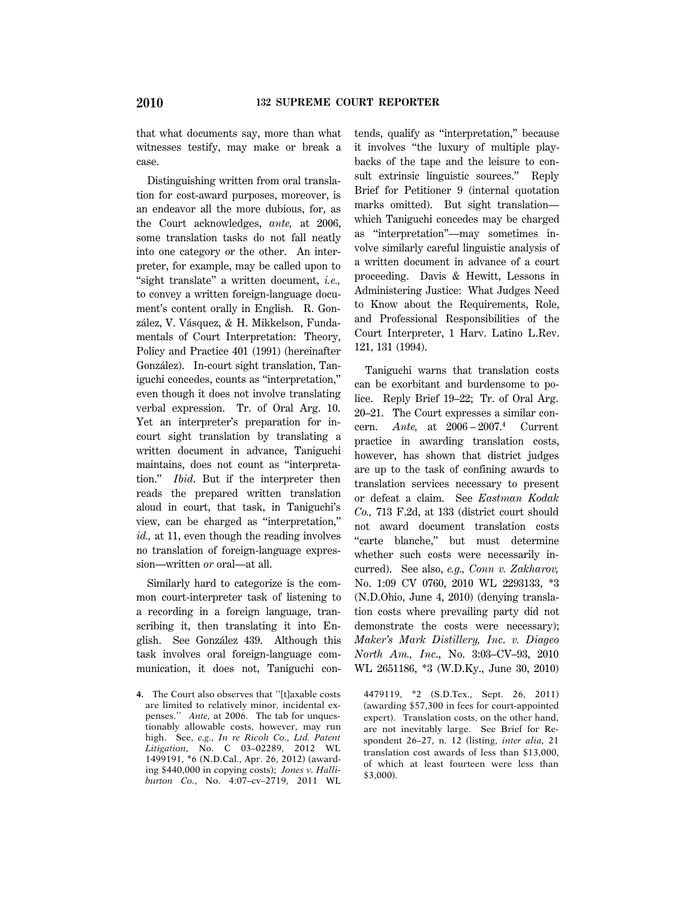that what documents say, more than what witnesses testify, may make or break a case.

Distinguishing written from oral translation for cost-award purposes, moreover, is an endeavor all the more dubious, for, as the Court acknowledges, *ante,* at 2006, some translation tasks do not fall neatly into one category or the other. An interpreter, for example, may be called upon to ''sight translate'' a written document, *i.e.,* to convey a written foreign-language document's content orally in English. R. González, V. Vásquez, & H. Mikkelson, Fundamentals of Court Interpretation: Theory, Policy and Practice 401 (1991) (hereinafter González). In-court sight translation, Taniguchi concedes, counts as ''interpretation,'' even though it does not involve translating verbal expression. Tr. of Oral Arg. 10. Yet an interpreter's preparation for incourt sight translation by translating a written document in advance, Taniguchi maintains, does not count as ''interpretation.'' *Ibid*. But if the interpreter then reads the prepared written translation aloud in court, that task, in Taniguchi's view, can be charged as ''interpretation,'' *id.,* at 11, even though the reading involves no translation of foreign-language expression—written *or* oral—at all.

Similarly hard to categorize is the common court-interpreter task of listening to a recording in a foreign language, transcribing it, then translating it into English. See González 439. Although this task involves oral foreign-language communication, it does not, Taniguchi contends, qualify as ''interpretation,'' because it involves ''the luxury of multiple playbacks of the tape and the leisure to consult extrinsic linguistic sources.'' Reply Brief for Petitioner 9 (internal quotation marks omitted). But sight translation which Taniguchi concedes may be charged as ''interpretation''—may sometimes involve similarly careful linguistic analysis of a written document in advance of a court proceeding. Davis & Hewitt, Lessons in Administering Justice: What Judges Need to Know about the Requirements, Role, and Professional Responsibilities of the Court Interpreter, 1 Harv. Latino L.Rev. 121, 131 (1994).

Taniguchi warns that translation costs can be exorbitant and burdensome to police. Reply Brief 19–22; Tr. of Oral Arg. 20–21. The Court expresses a similar concern. *Ante,* at 2006 – 2007.**<sup>4</sup>** Current practice in awarding translation costs, however, has shown that district judges are up to the task of confining awards to translation services necessary to present or defeat a claim. See *Eastman Kodak Co.,* 713 F.2d, at 133 (district court should not award document translation costs "carte blanche," but must determine whether such costs were necessarily incurred). See also, *e.g., Conn v. Zakharov,* No. 1:09 CV 0760, 2010 WL 2293133, \*3 (N.D.Ohio, June 4, 2010) (denying translation costs where prevailing party did not demonstrate the costs were necessary); *Maker's Mark Distillery, Inc*. *v. Diageo North Am., Inc*., No. 3:03–CV–93, 2010 WL 2651186, \*3 (W.D.Ky., June 30, 2010)

4479119, \*2 (S.D.Tex., Sept. 26, 2011) (awarding \$57,300 in fees for court-appointed expert). Translation costs, on the other hand, are not inevitably large. See Brief for Respondent 26–27, n. 12 (listing, *inter alia,* 21 translation cost awards of less than \$13,000, of which at least fourteen were less than \$3,000).

**<sup>4.</sup>** The Court also observes that ''[t]axable costs are limited to relatively minor, incidental expenses.'' *Ante,* at 2006. The tab for unquestionably allowable costs, however, may run high. See, *e.g., In re Ricoh Co., Ltd. Patent Litigation,* No. C 03–02289, 2012 WL 1499191, \*6 (N.D.Cal., Apr. 26, 2012) (awarding \$440,000 in copying costs); *Jones v. Halliburton Co.*, No. 4:07–cv–2719, 2011 WL